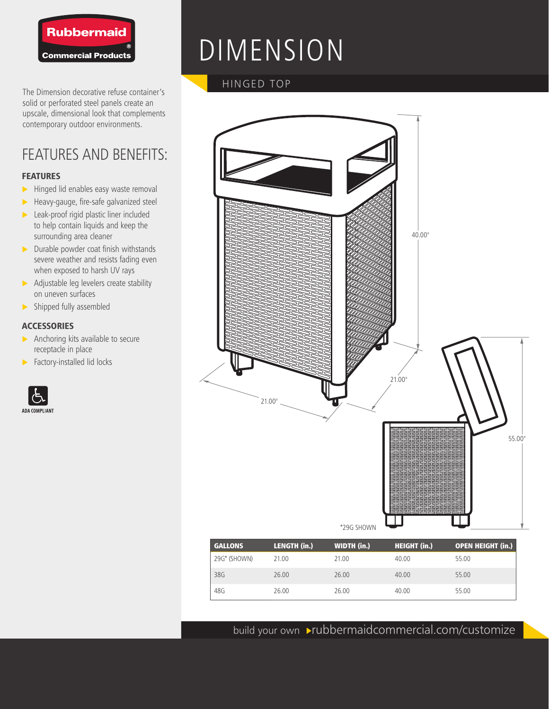

The Dimension decorative refuse container's solid or perforated steel panels create an upscale, dimensional look that complements contemporary outdoor environments.

## FEATURES AND BENEFITS:

#### **FEATURES**

- $\blacktriangleright$  Hinged lid enables easy waste removal
- $\blacktriangleright$  Heavy-gauge, fire-safe galvanized steel
- $\blacktriangleright$  Leak-proof rigid plastic liner included to help contain liquids and keep the surrounding area cleaner
- $\triangleright$  Durable powder coat finish withstands severe weather and resists fading even when exposed to harsh UV rays
- $\triangleright$  Adjustable leg levelers create stability on uneven surfaces
- $\blacktriangleright$  Shipped fully assembled

#### **ACCESSORIES**

- $\triangleright$  Anchoring kits available to secure receptacle in place
- $\blacktriangleright$  Factory-installed lid locks



# DIMENSION

### HINGED TOP



| <b>GALLONS</b> | <b>LENGTH (in.)</b> | <b>WIDTH</b> (in.) | <b>HEIGHT (in.)</b> | <b>OPEN HEIGHT (in.)</b> |
|----------------|---------------------|--------------------|---------------------|--------------------------|
| 29G* (SHOWN)   | 21.00               | 21.00              | 40.00               | 55.00                    |
| 38G            | 26.00               | 26.00              | 40.00               | 55.00                    |
| 48G            | 26.00               | 26.00              | 40.00               | 55.00                    |

build your own >rubbermaidcommercial.com/customize